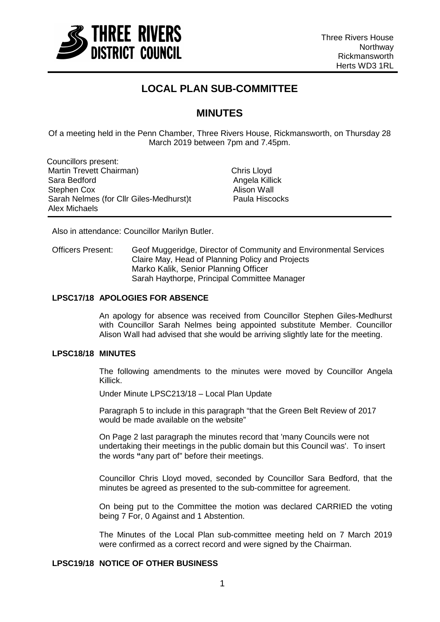

# **LOCAL PLAN SUB-COMMITTEE**

## **MINUTES**

Of a meeting held in the Penn Chamber, Three Rivers House, Rickmansworth, on Thursday 28 March 2019 between 7pm and 7.45pm.

Councillors present: Martin Trevett Chairman) Chris Lloyd Sara Bedford Stephen Cox Sarah Nelmes (for Cllr Giles-Medhurst)t Alex Michaels

Angela Killick Alison Wall<br>Paula Hiscocks

Also in attendance: Councillor Marilyn Butler.

Officers Present: Geof Muggeridge, Director of Community and Environmental Services Claire May, Head of Planning Policy and Projects Marko Kalik, Senior Planning Officer Sarah Haythorpe, Principal Committee Manager

### **LPSC17/18 APOLOGIES FOR ABSENCE**

An apology for absence was received from Councillor Stephen Giles-Medhurst with Councillor Sarah Nelmes being appointed substitute Member. Councillor Alison Wall had advised that she would be arriving slightly late for the meeting.

## **LPSC18/18 MINUTES**

The following amendments to the minutes were moved by Councillor Angela Killick.

Under Minute LPSC213/18 – Local Plan Update

Paragraph 5 to include in this paragraph "that the Green Belt Review of 2017 would be made available on the website"

On Page 2 last paragraph the minutes record that 'many Councils were not undertaking their meetings in the public domain but this Council was'. To insert the words **"**any part of" before their meetings.

Councillor Chris Lloyd moved, seconded by Councillor Sara Bedford, that the minutes be agreed as presented to the sub-committee for agreement.

On being put to the Committee the motion was declared CARRIED the voting being 7 For, 0 Against and 1 Abstention.

The Minutes of the Local Plan sub-committee meeting held on 7 March 2019 were confirmed as a correct record and were signed by the Chairman.

## **LPSC19/18 NOTICE OF OTHER BUSINESS**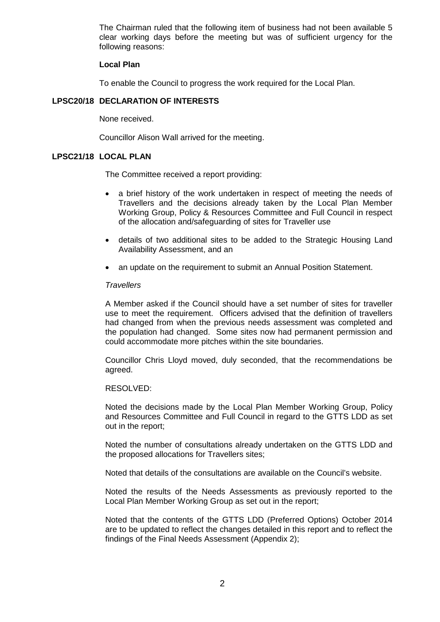The Chairman ruled that the following item of business had not been available 5 clear working days before the meeting but was of sufficient urgency for the following reasons:

### **Local Plan**

To enable the Council to progress the work required for the Local Plan.

## **LPSC20/18 DECLARATION OF INTERESTS**

None received.

Councillor Alison Wall arrived for the meeting.

## **LPSC21/18 LOCAL PLAN**

The Committee received a report providing:

- a brief history of the work undertaken in respect of meeting the needs of Travellers and the decisions already taken by the Local Plan Member Working Group, Policy & Resources Committee and Full Council in respect of the allocation and/safeguarding of sites for Traveller use
- details of two additional sites to be added to the Strategic Housing Land Availability Assessment, and an
- an update on the requirement to submit an Annual Position Statement.

### *Travellers*

A Member asked if the Council should have a set number of sites for traveller use to meet the requirement. Officers advised that the definition of travellers had changed from when the previous needs assessment was completed and the population had changed. Some sites now had permanent permission and could accommodate more pitches within the site boundaries.

Councillor Chris Lloyd moved, duly seconded, that the recommendations be agreed.

### RESOLVED:

Noted the decisions made by the Local Plan Member Working Group, Policy and Resources Committee and Full Council in regard to the GTTS LDD as set out in the report;

Noted the number of consultations already undertaken on the GTTS LDD and the proposed allocations for Travellers sites;

Noted that details of the consultations are available on the Council's website.

Noted the results of the Needs Assessments as previously reported to the Local Plan Member Working Group as set out in the report;

Noted that the contents of the GTTS LDD (Preferred Options) October 2014 are to be updated to reflect the changes detailed in this report and to reflect the findings of the Final Needs Assessment (Appendix 2);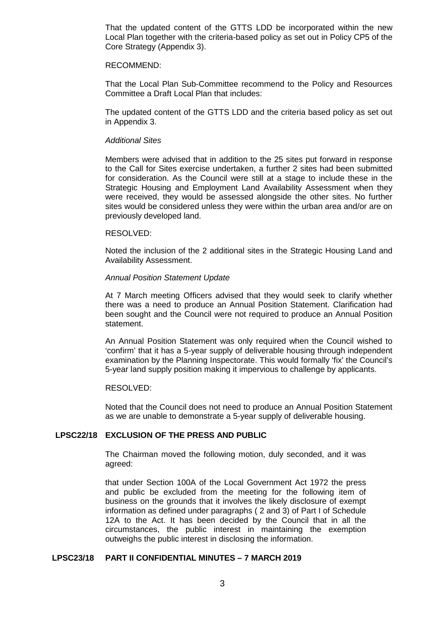That the updated content of the GTTS LDD be incorporated within the new Local Plan together with the criteria-based policy as set out in Policy CP5 of the Core Strategy (Appendix 3).

#### RECOMMEND:

That the Local Plan Sub-Committee recommend to the Policy and Resources Committee a Draft Local Plan that includes:

The updated content of the GTTS LDD and the criteria based policy as set out in Appendix 3.

#### *Additional Sites*

Members were advised that in addition to the 25 sites put forward in response to the Call for Sites exercise undertaken, a further 2 sites had been submitted for consideration. As the Council were still at a stage to include these in the Strategic Housing and Employment Land Availability Assessment when they were received, they would be assessed alongside the other sites. No further sites would be considered unless they were within the urban area and/or are on previously developed land.

#### RESOLVED:

Noted the inclusion of the 2 additional sites in the Strategic Housing Land and Availability Assessment.

### *Annual Position Statement Update*

At 7 March meeting Officers advised that they would seek to clarify whether there was a need to produce an Annual Position Statement. Clarification had been sought and the Council were not required to produce an Annual Position statement.

An Annual Position Statement was only required when the Council wished to 'confirm' that it has a 5-year supply of deliverable housing through independent examination by the Planning Inspectorate. This would formally 'fix' the Council's 5-year land supply position making it impervious to challenge by applicants.

### RESOLVED:

Noted that the Council does not need to produce an Annual Position Statement as we are unable to demonstrate a 5-year supply of deliverable housing.

## **LPSC22/18 EXCLUSION OF THE PRESS AND PUBLIC**

The Chairman moved the following motion, duly seconded, and it was agreed:

that under Section 100A of the Local Government Act 1972 the press and public be excluded from the meeting for the following item of business on the grounds that it involves the likely disclosure of exempt information as defined under paragraphs ( 2 and 3) of Part I of Schedule 12A to the Act. It has been decided by the Council that in all the circumstances, the public interest in maintaining the exemption outweighs the public interest in disclosing the information.

### **LPSC23/18 PART II CONFIDENTIAL MINUTES – 7 MARCH 2019**